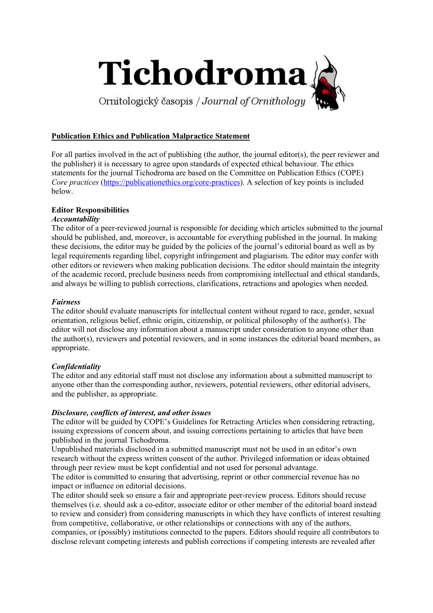

# Publication Ethics and Publication Malpractice Statement

For all parties involved in the act of publishing (the author, the journal editor(s), the peer reviewer and the publisher) it is necessary to agree upon standards of expected ethical behaviour. The ethics statements for the journal Tichodroma are based on the Committee on Publication Ethics (COPE) Core practices (https://publicationethics.org/core-practices). A selection of key points is included below.

# Editor Responsibilities

# **Accountability**

The editor of a peer-reviewed journal is responsible for deciding which articles submitted to the journal should be published, and, moreover, is accountable for everything published in the journal. In making these decisions, the editor may be guided by the policies of the journal's editorial board as well as by legal requirements regarding libel, copyright infringement and plagiarism. The editor may confer with other editors or reviewers when making publication decisions. The editor should maintain the integrity of the academic record, preclude business needs from compromising intellectual and ethical standards, and always be willing to publish corrections, clarifications, retractions and apologies when needed.

# Fairness

The editor should evaluate manuscripts for intellectual content without regard to race, gender, sexual orientation, religious belief, ethnic origin, citizenship, or political philosophy of the author(s). The editor will not disclose any information about a manuscript under consideration to anyone other than the author(s), reviewers and potential reviewers, and in some instances the editorial board members, as appropriate.

# **Confidentiality**

The editor and any editorial staff must not disclose any information about a submitted manuscript to anyone other than the corresponding author, reviewers, potential reviewers, other editorial advisers, and the publisher, as appropriate.

## Disclosure, conflicts of interest, and other issues

The editor will be guided by COPE's Guidelines for Retracting Articles when considering retracting, issuing expressions of concern about, and issuing corrections pertaining to articles that have been published in the journal Tichodroma.

Unpublished materials disclosed in a submitted manuscript must not be used in an editor's own research without the express written consent of the author. Privileged information or ideas obtained through peer review must be kept confidential and not used for personal advantage. The editor is committed to ensuring that advertising, reprint or other commercial revenue has no impact or influence on editorial decisions.

The editor should seek so ensure a fair and appropriate peer-review process. Editors should recuse themselves (i.e. should ask a co-editor, associate editor or other member of the editorial board instead to review and consider) from considering manuscripts in which they have conflicts of interest resulting from competitive, collaborative, or other relationships or connections with any of the authors, companies, or (possibly) institutions connected to the papers. Editors should require all contributors to disclose relevant competing interests and publish corrections if competing interests are revealed after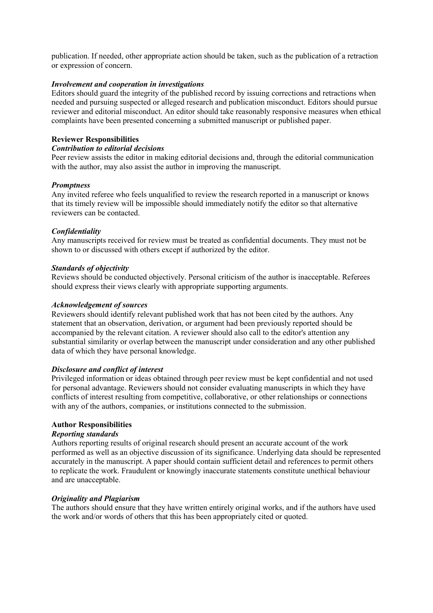publication. If needed, other appropriate action should be taken, such as the publication of a retraction or expression of concern.

## Involvement and cooperation in investigations

Editors should guard the integrity of the published record by issuing corrections and retractions when needed and pursuing suspected or alleged research and publication misconduct. Editors should pursue reviewer and editorial misconduct. An editor should take reasonably responsive measures when ethical complaints have been presented concerning a submitted manuscript or published paper.

#### Reviewer Responsibilities

#### Contribution to editorial decisions

Peer review assists the editor in making editorial decisions and, through the editorial communication with the author, may also assist the author in improving the manuscript.

#### **Promptness**

Any invited referee who feels unqualified to review the research reported in a manuscript or knows that its timely review will be impossible should immediately notify the editor so that alternative reviewers can be contacted.

#### **Confidentiality**

Any manuscripts received for review must be treated as confidential documents. They must not be shown to or discussed with others except if authorized by the editor.

#### Standards of objectivity

Reviews should be conducted objectively. Personal criticism of the author is inacceptable. Referees should express their views clearly with appropriate supporting arguments.

#### Acknowledgement of sources

Reviewers should identify relevant published work that has not been cited by the authors. Any statement that an observation, derivation, or argument had been previously reported should be accompanied by the relevant citation. A reviewer should also call to the editor's attention any substantial similarity or overlap between the manuscript under consideration and any other published data of which they have personal knowledge.

## Disclosure and conflict of interest

Privileged information or ideas obtained through peer review must be kept confidential and not used for personal advantage. Reviewers should not consider evaluating manuscripts in which they have conflicts of interest resulting from competitive, collaborative, or other relationships or connections with any of the authors, companies, or institutions connected to the submission.

## Author Responsibilities

#### Reporting standards

Authors reporting results of original research should present an accurate account of the work performed as well as an objective discussion of its significance. Underlying data should be represented accurately in the manuscript. A paper should contain sufficient detail and references to permit others to replicate the work. Fraudulent or knowingly inaccurate statements constitute unethical behaviour and are unacceptable.

## Originality and Plagiarism

The authors should ensure that they have written entirely original works, and if the authors have used the work and/or words of others that this has been appropriately cited or quoted.